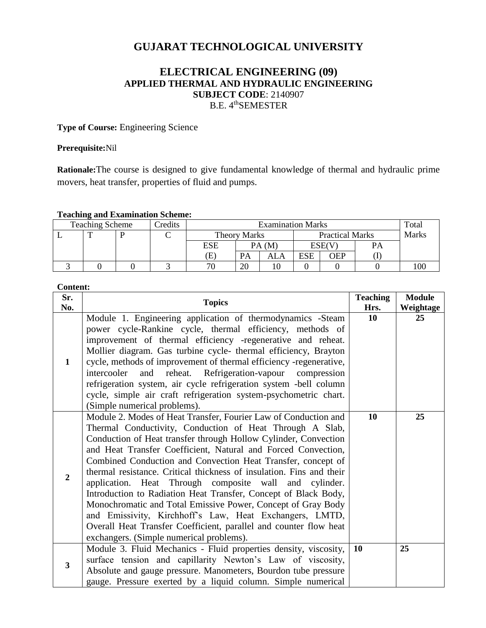# **GUJARAT TECHNOLOGICAL UNIVERSITY**

# **ELECTRICAL ENGINEERING (09) APPLIED THERMAL AND HYDRAULIC ENGINEERING SUBJECT CODE**: 2140907 B.E. 4<sup>th</sup>SEMESTER

**Type of Course:** Engineering Science

#### **Prerequisite:**Nil

**Rationale:**The course is designed to give fundamental knowledge of thermal and hydraulic prime movers, heat transfer, properties of fluid and pumps.

#### **Teaching and Examination Scheme:**

| . .<br><b>Teaching Scheme</b> |  |  | Credits | <b>Examination Marks</b>   |    |                        |            | Total        |    |     |
|-------------------------------|--|--|---------|----------------------------|----|------------------------|------------|--------------|----|-----|
|                               |  |  |         | <b>Theory Marks</b>        |    | <b>Practical Marks</b> |            | <b>Marks</b> |    |     |
|                               |  |  |         | ESE                        |    | PA(M)                  |            | ESE(V        | PA |     |
|                               |  |  |         | $\left( \mathrm{E}\right)$ | PA | ALA                    | <b>ESE</b> | OEP          |    |     |
|                               |  |  |         | 70                         | 20 |                        |            |              |    | 100 |

#### **Content:**

| Sr.            | <b>Topics</b>                                                                                                                                                                                                                                                                                                                                                                                                                                                                                                                                                                                                                                                                                                                                                                    | <b>Teaching</b> | <b>Module</b>   |
|----------------|----------------------------------------------------------------------------------------------------------------------------------------------------------------------------------------------------------------------------------------------------------------------------------------------------------------------------------------------------------------------------------------------------------------------------------------------------------------------------------------------------------------------------------------------------------------------------------------------------------------------------------------------------------------------------------------------------------------------------------------------------------------------------------|-----------------|-----------------|
| No.            |                                                                                                                                                                                                                                                                                                                                                                                                                                                                                                                                                                                                                                                                                                                                                                                  | Hrs.<br>10      | Weightage<br>25 |
| $\mathbf{1}$   | Module 1. Engineering application of thermodynamics -Steam<br>power cycle-Rankine cycle, thermal efficiency, methods of<br>improvement of thermal efficiency -regenerative and reheat.<br>Mollier diagram. Gas turbine cycle- thermal efficiency, Brayton<br>cycle, methods of improvement of thermal efficiency -regenerative,<br>and reheat. Refrigeration-vapour compression<br>intercooler<br>refrigeration system, air cycle refrigeration system -bell column<br>cycle, simple air craft refrigeration system-psychometric chart.<br>(Simple numerical problems).                                                                                                                                                                                                          |                 |                 |
| $\overline{2}$ | Module 2. Modes of Heat Transfer, Fourier Law of Conduction and<br>Thermal Conductivity, Conduction of Heat Through A Slab,<br>Conduction of Heat transfer through Hollow Cylinder, Convection<br>and Heat Transfer Coefficient, Natural and Forced Convection,<br>Combined Conduction and Convection Heat Transfer, concept of<br>thermal resistance. Critical thickness of insulation. Fins and their<br>application. Heat Through composite wall and cylinder.<br>Introduction to Radiation Heat Transfer, Concept of Black Body,<br>Monochromatic and Total Emissive Power, Concept of Gray Body<br>and Emissivity, Kirchhoff's Law, Heat Exchangers, LMTD,<br>Overall Heat Transfer Coefficient, parallel and counter flow heat<br>exchangers. (Simple numerical problems). | 10              | 25              |
| 3              | Module 3. Fluid Mechanics - Fluid properties density, viscosity,<br>surface tension and capillarity Newton's Law of viscosity,<br>Absolute and gauge pressure. Manometers, Bourdon tube pressure<br>gauge. Pressure exerted by a liquid column. Simple numerical                                                                                                                                                                                                                                                                                                                                                                                                                                                                                                                 | <b>10</b>       | 25              |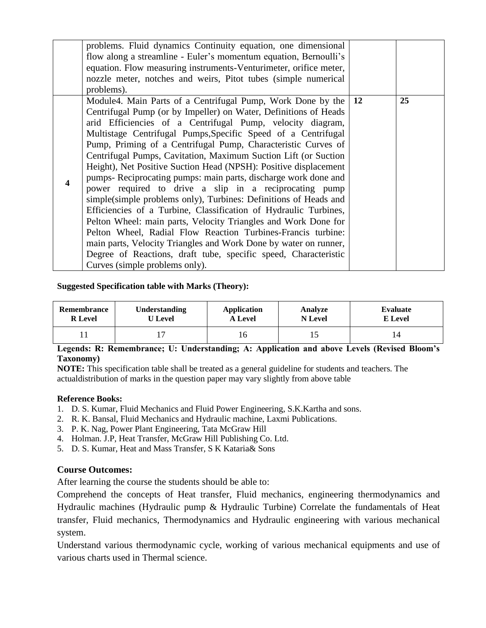|                  | problems. Fluid dynamics Continuity equation, one dimensional<br>flow along a streamline - Euler's momentum equation, Bernoulli's<br>equation. Flow measuring instruments-Venturimeter, orifice meter,<br>nozzle meter, notches and weirs, Pitot tubes (simple numerical<br>problems).                                                                                                                                                                                                                                                                                                                                                                                                                                                                                                                                                                                                                                                                                                                                                                      |    |
|------------------|-------------------------------------------------------------------------------------------------------------------------------------------------------------------------------------------------------------------------------------------------------------------------------------------------------------------------------------------------------------------------------------------------------------------------------------------------------------------------------------------------------------------------------------------------------------------------------------------------------------------------------------------------------------------------------------------------------------------------------------------------------------------------------------------------------------------------------------------------------------------------------------------------------------------------------------------------------------------------------------------------------------------------------------------------------------|----|
| $\boldsymbol{4}$ | Module4. Main Parts of a Centrifugal Pump, Work Done by the   12<br>Centrifugal Pump (or by Impeller) on Water, Definitions of Heads<br>arid Efficiencies of a Centrifugal Pump, velocity diagram,<br>Multistage Centrifugal Pumps, Specific Speed of a Centrifugal<br>Pump, Priming of a Centrifugal Pump, Characteristic Curves of<br>Centrifugal Pumps, Cavitation, Maximum Suction Lift (or Suction<br>Height), Net Positive Suction Head (NPSH): Positive displacement<br>pumps- Reciprocating pumps: main parts, discharge work done and<br>power required to drive a slip in a reciprocating pump<br>simple(simple problems only), Turbines: Definitions of Heads and<br>Efficiencies of a Turbine, Classification of Hydraulic Turbines,<br>Pelton Wheel: main parts, Velocity Triangles and Work Done for<br>Pelton Wheel, Radial Flow Reaction Turbines-Francis turbine:<br>main parts, Velocity Triangles and Work Done by water on runner,<br>Degree of Reactions, draft tube, specific speed, Characteristic<br>Curves (simple problems only). | 25 |

# **Suggested Specification table with Marks (Theory):**

| Remembrance    | <b>Understanding</b> | Application    | Analyze        | Evaluate |
|----------------|----------------------|----------------|----------------|----------|
| <b>R</b> Level | <b>U</b> Level       | <b>A</b> Level | <b>N</b> Level | E Level  |
|                |                      | 16             | 10             |          |

# **Legends: R: Remembrance; U: Understanding; A: Application and above Levels (Revised Bloom's Taxonomy)**

**NOTE:** This specification table shall be treated as a general guideline for students and teachers. The actualdistribution of marks in the question paper may vary slightly from above table

# **Reference Books:**

- 1. D. S. Kumar, Fluid Mechanics and Fluid Power Engineering, S.K.Kartha and sons.
- 2. R. K. Bansal, Fluid Mechanics and Hydraulic machine, Laxmi Publications.
- 3. P. K. Nag, Power Plant Engineering, Tata McGraw Hill
- 4. Holman. J.P, Heat Transfer, McGraw Hill Publishing Co. Ltd.
- 5. D. S. Kumar, Heat and Mass Transfer, S K Kataria& Sons

# **Course Outcomes:**

After learning the course the students should be able to:

Comprehend the concepts of Heat transfer, Fluid mechanics, engineering thermodynamics and Hydraulic machines (Hydraulic pump & Hydraulic Turbine) Correlate the fundamentals of Heat transfer, Fluid mechanics, Thermodynamics and Hydraulic engineering with various mechanical system.

Understand various thermodynamic cycle, working of various mechanical equipments and use of various charts used in Thermal science.